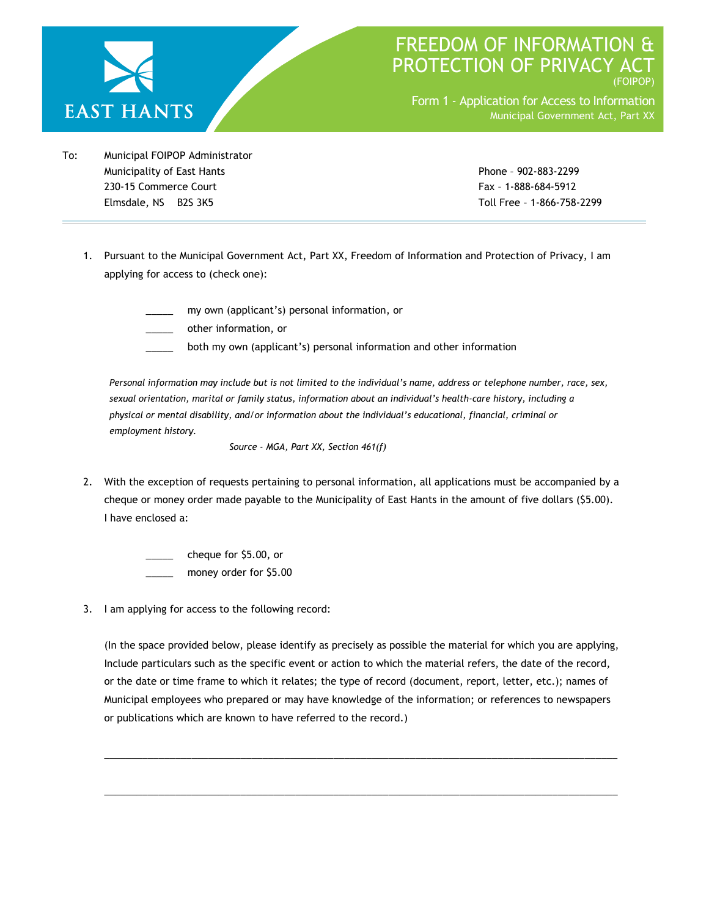

## FREEDOM OF INFORMATION PROTECTION OF PRIVACY A (FOIPOP)

Form 1 - Application for Access to Information Municipal Government Act, Part XX

To: Municipal FOIPOP Administrator Municipality of East Hants Phone – 902-883-2299 230-15 Commerce Court Fax – 1-888-684-5912 Elmsdale, NS B2S 3K5 Toll Free – 1-866-758-2299

- 1. Pursuant to the Municipal Government Act, Part XX, Freedom of Information and Protection of Privacy, I am applying for access to (check one):
	- my own (applicant's) personal information, or

\_\_\_\_\_ other information, or

both my own (applicant's) personal information and other information

*Personal information may include but is not limited to the individual's name, address or telephone number, race, sex, sexual orientation, marital or family status, information about an individual's health-care history, including a physical or mental disability, and/or information about the individual's educational, financial, criminal or employment history.* 

*Source - MGA, Part XX, Section 461(f)* 

2. With the exception of requests pertaining to personal information, all applications must be accompanied by a cheque or money order made payable to the Municipality of East Hants in the amount of five dollars (\$5.00). I have enclosed a:

> cheque for \$5.00, or money order for \$5.00

3. I am applying for access to the following record:

(In the space provided below, please identify as precisely as possible the material for which you are applying, Include particulars such as the specific event or action to which the material refers, the date of the record, or the date or time frame to which it relates; the type of record (document, report, letter, etc.); names of Municipal employees who prepared or may have knowledge of the information; or references to newspapers or publications which are known to have referred to the record.)

 $\overline{a}$  , and the set of the set of the set of the set of the set of the set of the set of the set of the set of the set of the set of the set of the set of the set of the set of the set of the set of the set of the set

 $\overline{a}$  , and the state of the state of the state of the state of the state of the state of the state of the state of the state of the state of the state of the state of the state of the state of the state of the state o